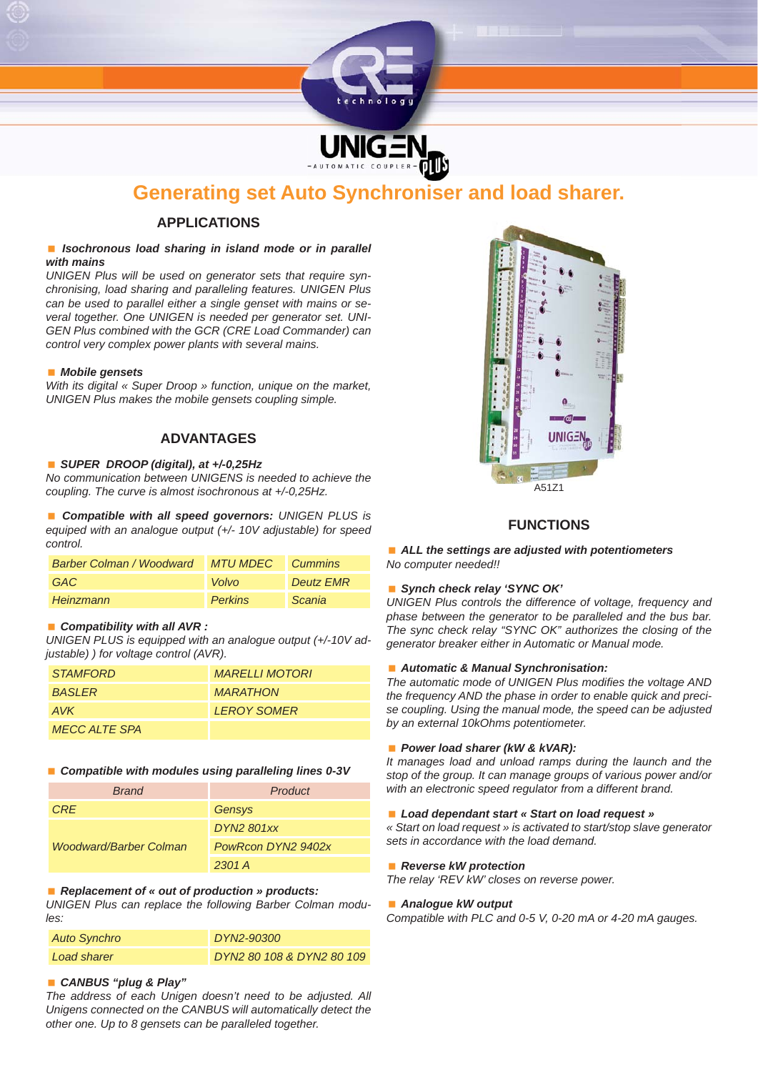

# **Generating set Auto Synchroniser and load sharer.**

# **APPLICATIONS**

#### ■ *Isochronous load sharing in island mode or in parallel with mains*

*UNIGEN Plus will be used on generator sets that require synchronising, load sharing and paralleling features. UNIGEN Plus can be used to parallel either a single genset with mains or several together. One UNIGEN is needed per generator set. UNI-GEN Plus combined with the GCR (CRE Load Commander) can control very complex power plants with several mains.*

#### *Mobile gensets*

*With its digital* « Super Droop » function, unique on the market, *UNIGEN Plus makes the mobile gensets coupling simple.*

# **ADVANTAGES**

### *SUPER DROOP (digital), at +/-0,25Hz*

*No communication between UNIGENS is needed to achieve the coupling. The curve is almost isochronous at +/-0,25Hz.*

 *Compatible with all speed governors: UNIGEN PLUS is equiped with an analogue output (+/- 10V adjustable) for speed control.*

| <b>Barber Colman / Woodward</b> | <b>MTU MDEC</b> Cummins |                  |
|---------------------------------|-------------------------|------------------|
| GAC                             | Volvo                   | <b>Deutz EMR</b> |
| Heinzmann                       | <b>Perkins</b>          | <b>Scania</b>    |

#### ■ *Compatibility with all AVR :*

*UNIGEN PLUS is equipped with an analogue output (+/-10V adjustable) ) for voltage control (AVR).*

| <i><b>STAMFORD</b></i> | <b>MARELLI MOTORI</b> |
|------------------------|-----------------------|
| <b>BASI FR</b>         | <b>MARATHON</b>       |
| AVK                    | <b>I FROY SOMER</b>   |
| <b>MECC ALTE SPA</b>   |                       |

#### *Compatible with modules using paralleling lines 0-3V*

| <b>Brand</b>                  | Product            |
|-------------------------------|--------------------|
| <b>CRF</b>                    | Gensys             |
| <b>Woodward/Barber Colman</b> | DYN2 801xx         |
|                               | PowRcon DYN2 9402x |
|                               | 2301A              |

#### ■ Replacement of « out of production » products:

*UNIGEN Plus can replace the following Barber Colman modules:*

| Auto Synchro | DYN2-90300                |
|--------------|---------------------------|
| Load sharer  | DYN2 80 108 & DYN2 80 109 |

### *CANBUS "plug & Play"*

*The address of each Unigen doesn't need to be adjusted. All Unigens connected on the CANBUS will automatically detect the other one. Up to 8 gensets can be paralleled together.*



## **FUNCTIONS**

 *ALL the settings are adjusted with potentiometers No computer needed!!*

#### *Synch check relay 'SYNC OK'*

*UNIGEN Plus controls the difference of voltage, frequency and phase between the generator to be paralleled and the bus bar. The sync check relay "SYNC OK" authorizes the closing of the generator breaker either in Automatic or Manual mode.*

#### *Automatic & Manual Synchronisation:*

**The automatic mode of UNIGEN Plus modifies the voltage AND** *the frequency AND the phase in order to enable quick and precise coupling. Using the manual mode, the speed can be adjusted by an external 10kOhms potentiometer.*

#### *Power load sharer (kW & kVAR):*

*It manages load and unload ramps during the launch and the stop of the group. It can manage groups of various power and/or with an electronic speed regulator from a different brand.*

#### *Load dependant start « Start on load request »*

*« Start on load request » is activated to start/stop slave generator sets in accordance with the load demand.*

#### *Reverse kW protection*

*The relay 'REV kW' closes on reverse power.* 

#### *Analogue kW output*

*Compatible with PLC and 0-5 V, 0-20 mA or 4-20 mA gauges.*